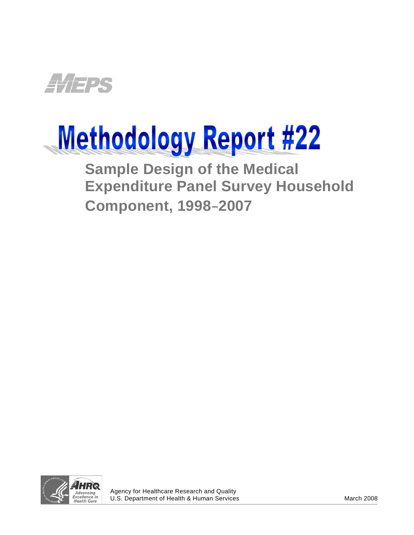

# Methodology Report #22

**Sample Design of the Medical Expenditure Panel Survey Household Component, 1998**–**2007**



j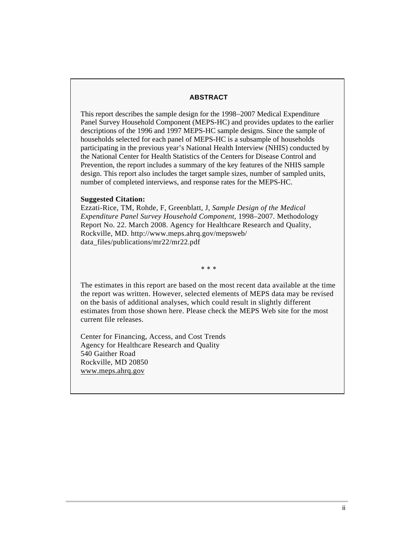#### **ABSTRACT**

This report describes the sample design for the 1998−2007 Medical Expenditure Panel Survey Household Component (MEPS-HC) and provides updates to the earlier descriptions of the 1996 and 1997 MEPS-HC sample designs. Since the sample of households selected for each panel of MEPS-HC is a subsample of households participating in the previous year's National Health Interview (NHIS) conducted by the National Center for Health Statistics of the Centers for Disease Control and Prevention, the report includes a summary of the key features of the NHIS sample design. This report also includes the target sample sizes, number of sampled units, number of completed interviews, and response rates for the MEPS-HC.

#### **Suggested Citation:**

Ezzati-Rice, TM, Rohde, F, Greenblatt, J, *Sample Design of the Medical Expenditure Panel Survey Household Component*, 1998–2007*.* Methodology Report No. 22. March 2008. Agency for Healthcare Research and Quality, Rockville, MD. http://www.meps.ahrq.gov/mepsweb/ data\_files/publications/mr22/mr22.pdf

∗ ∗ ∗

The estimates in this report are based on the most recent data available at the time the report was written. However, selected elements of MEPS data may be revised on the basis of additional analyses, which could result in slightly different estimates from those shown here. Please check the MEPS Web site for the most current file releases.

Center for Financing, Access, and Cost Trends Agency for Healthcare Research and Quality 540 Gaither Road Rockville, MD 20850 <www.meps.ahrq.gov>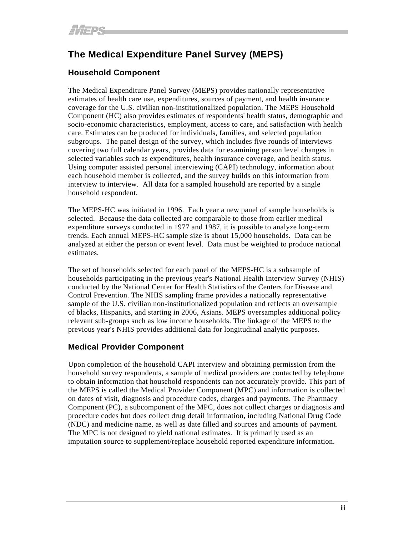# **The Medical Expenditure Panel Survey (MEPS)**

# **Household Component**

The Medical Expenditure Panel Survey (MEPS) provides nationally representative estimates of health care use, expenditures, sources of payment, and health insurance coverage for the U.S. civilian non-institutionalized population. The MEPS Household Component (HC) also provides estimates of respondents' health status, demographic and socio-economic characteristics, employment, access to care, and satisfaction with health care. Estimates can be produced for individuals, families, and selected population subgroups. The panel design of the survey, which includes five rounds of interviews covering two full calendar years, provides data for examining person level changes in selected variables such as expenditures, health insurance coverage, and health status. Using computer assisted personal interviewing (CAPI) technology, information about each household member is collected, and the survey builds on this information from interview to interview. All data for a sampled household are reported by a single household respondent.

The MEPS-HC was initiated in 1996. Each year a new panel of sample households is selected. Because the data collected are comparable to those from earlier medical expenditure surveys conducted in 1977 and 1987, it is possible to analyze long-term trends. Each annual MEPS-HC sample size is about 15,000 households. Data can be analyzed at either the person or event level. Data must be weighted to produce national estimates.

The set of households selected for each panel of the MEPS-HC is a subsample of households participating in the previous year's National Health Interview Survey (NHIS) conducted by the National Center for Health Statistics of the Centers for Disease and Control Prevention. The NHIS sampling frame provides a nationally representative sample of the U.S. civilian non-institutionalized population and reflects an oversample of blacks, Hispanics, and starting in 2006, Asians. MEPS oversamples additional policy relevant sub-groups such as low income households. The linkage of the MEPS to the previous year's NHIS provides additional data for longitudinal analytic purposes.

# **Medical Provider Component**

Upon completion of the household CAPI interview and obtaining permission from the household survey respondents, a sample of medical providers are contacted by telephone to obtain information that household respondents can not accurately provide. This part of the MEPS is called the Medical Provider Component (MPC) and information is collected on dates of visit, diagnosis and procedure codes, charges and payments. The Pharmacy Component (PC), a subcomponent of the MPC, does not collect charges or diagnosis and procedure codes but does collect drug detail information, including National Drug Code (NDC) and medicine name, as well as date filled and sources and amounts of payment. The MPC is not designed to yield national estimates. It is primarily used as an imputation source to supplement/replace household reported expenditure information.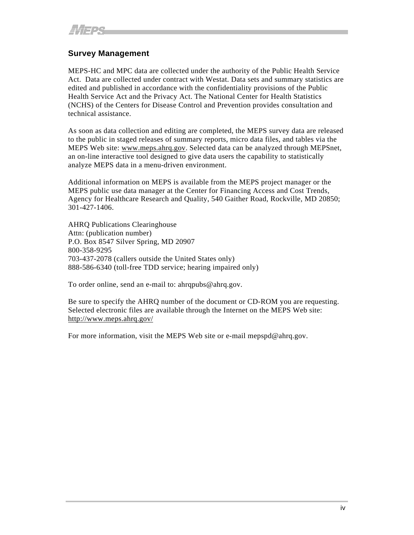# **Survey Management**

MEPS-HC and MPC data are collected under the authority of the Public Health Service Act. Data are collected under contract with Westat. Data sets and summary statistics are edited and published in accordance with the confidentiality provisions of the Public Health Service Act and the Privacy Act. The National Center for Health Statistics (NCHS) of the Centers for Disease Control and Prevention provides consultation and technical assistance.

As soon as data collection and editing are completed, the MEPS survey data are released to the public in staged releases of summary reports, micro data files, and tables via the MEPS Web site: [www.meps.ahrq.gov.](http://www.meps.ahrq.gov/) Selected data can be analyzed through MEPSnet, an on-line interactive tool designed to give data users the capability to statistically analyze MEPS data in a menu-driven environment.

Additional information on MEPS is available from the MEPS project manager or the MEPS public use data manager at the Center for Financing Access and Cost Trends, Agency for Healthcare Research and Quality, 540 Gaither Road, Rockville, MD 20850; 301-427-1406.

AHRQ Publications Clearinghouse Attn: (publication number) P.O. Box 8547 Silver Spring, MD 20907 800-358-9295 703-437-2078 (callers outside the United States only) 888-586-6340 (toll-free TDD service; hearing impaired only)

To order online, send an e-mail to: ahrqpubs@ahrq.gov.

Be sure to specify the AHRQ number of the document or CD-ROM you are requesting. Selected electronic files are available through the Internet on the MEPS Web site: <http://www.meps.ahrq.gov/>

[F](http://www.meps.ahrq.gov/)or more information, visit the MEPS Web site or e-mail mepspd@ahrq.gov.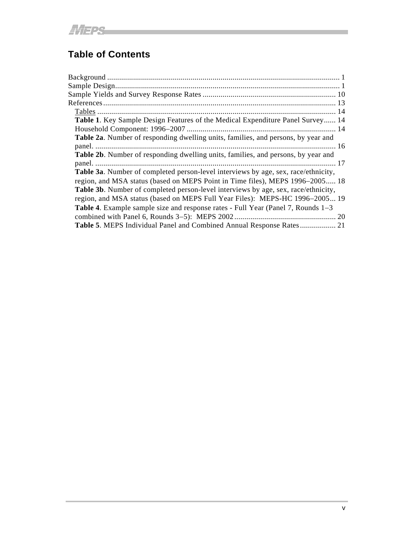# **Table of Contents**

| Table 1. Key Sample Design Features of the Medical Expenditure Panel Survey 14            |  |
|-------------------------------------------------------------------------------------------|--|
|                                                                                           |  |
| Table 2a. Number of responding dwelling units, families, and persons, by year and         |  |
|                                                                                           |  |
| Table 2b. Number of responding dwelling units, families, and persons, by year and         |  |
|                                                                                           |  |
| <b>Table 3a.</b> Number of completed person-level interviews by age, sex, race/ethnicity, |  |
| region, and MSA status (based on MEPS Point in Time files), MEPS 1996–2005 18             |  |
| Table 3b. Number of completed person-level interviews by age, sex, race/ethnicity,        |  |
| region, and MSA status (based on MEPS Full Year Files): MEPS-HC 1996-2005 19              |  |
| <b>Table 4.</b> Example sample size and response rates - Full Year (Panel 7, Rounds 1–3)  |  |
|                                                                                           |  |
| <b>Table 5. MEPS Individual Panel and Combined Annual Response Rates 21</b>               |  |

and the control of the control of the control of the control of the control of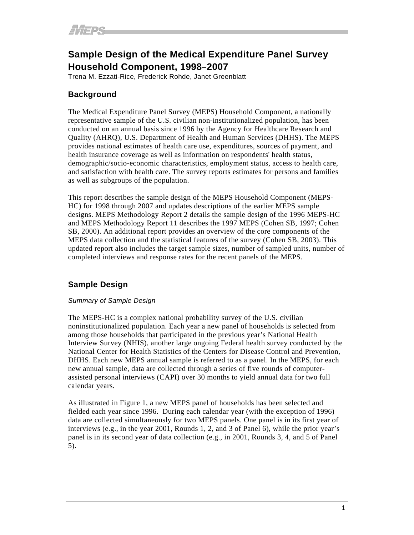# **Sample Design of the Medical Expenditure Panel Survey Household Component, 1998**–**2007**

Trena M. Ezzati-Rice, Frederick Rohde, Janet Greenblatt

# **Background**

The Medical Expenditure Panel Survey (MEPS) Household Component, a nationally representative sample of the U.S. civilian non-institutionalized population, has been conducted on an annual basis since 1996 by the Agency for Healthcare Research and Quality (AHRQ), U.S. Department of Health and Human Services (DHHS). The MEPS provides national estimates of health care use, expenditures, sources of payment, and health insurance coverage as well as information on respondents' health status, demographic/socio-economic characteristics, employment status, access to health care, and satisfaction with health care. The survey reports estimates for persons and families as well as subgroups of the population.

This report describes the sample design of the MEPS Household Component (MEPS-HC) for 1998 through 2007 and updates descriptions of the earlier MEPS sample designs. MEPS Methodology Report 2 details the sample design of the 1996 MEPS-HC and MEPS Methodology Report 11 describes the 1997 MEPS (Cohen SB, 1997; Cohen SB, 2000). An additional report provides an overview of the core components of the MEPS data collection and the statistical features of the survey (Cohen SB, 2003). This updated report also includes the target sample sizes, number of sampled units, number of completed interviews and response rates for the recent panels of the MEPS.

# **Sample Design**

# *Summary of Sample Design*

The MEPS-HC is a complex national probability survey of the U.S. civilian noninstitutionalized population. Each year a new panel of households is selected from among those households that participated in the previous year's National Health Interview Survey (NHIS), another large ongoing Federal health survey conducted by the National Center for Health Statistics of the Centers for Disease Control and Prevention, DHHS. Each new MEPS annual sample is referred to as a panel. In the MEPS, for each new annual sample, data are collected through a series of five rounds of computerassisted personal interviews (CAPI) over 30 months to yield annual data for two full calendar years.

As illustrated in Figure 1, a new MEPS panel of households has been selected and fielded each year since 1996. During each calendar year (with the exception of 1996) data are collected simultaneously for two MEPS panels. One panel is in its first year of interviews (e.g., in the year 2001, Rounds 1, 2, and 3 of Panel 6), while the prior year's panel is in its second year of data collection (e.g., in 2001, Rounds 3, 4, and 5 of Panel 5).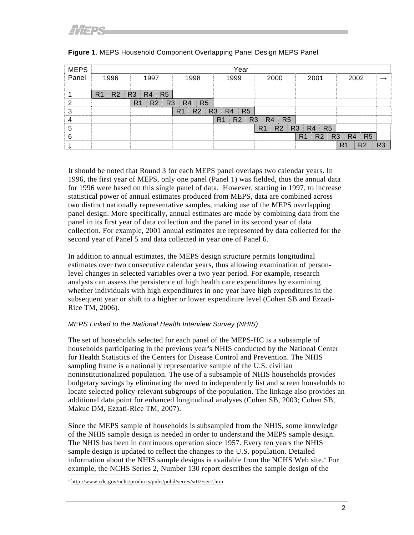| <b>MEPS</b> |                                  |                                                    |                                  | Year                                               |                                  |                                                    |                                  |                |
|-------------|----------------------------------|----------------------------------------------------|----------------------------------|----------------------------------------------------|----------------------------------|----------------------------------------------------|----------------------------------|----------------|
| Panel       | 1996                             | 1997                                               | 1998                             | 1999                                               | 2000                             | 2001                                               | 2002                             |                |
|             |                                  |                                                    |                                  |                                                    |                                  |                                                    |                                  |                |
|             | R <sub>2</sub><br>R <sub>1</sub> | R <sub>5</sub><br>R <sub>3</sub><br>R4             |                                  |                                                    |                                  |                                                    |                                  |                |
|             |                                  | R <sub>3</sub><br>R <sub>2</sub><br>R <sub>1</sub> | R <sub>5</sub><br>R <sub>4</sub> |                                                    |                                  |                                                    |                                  |                |
| 3           |                                  |                                                    | R <sub>1</sub><br>R <sub>2</sub> | R <sub>5</sub><br>R <sub>3</sub><br>R <sub>4</sub> |                                  |                                                    |                                  |                |
|             |                                  |                                                    |                                  | R <sub>2</sub><br>R <sub>3</sub><br>R <sub>1</sub> | R <sub>5</sub><br>R <sub>4</sub> |                                                    |                                  |                |
| 5           |                                  |                                                    |                                  |                                                    | R <sub>1</sub><br>R <sub>2</sub> | R <sub>3</sub><br>R <sub>4</sub><br>R <sub>5</sub> |                                  |                |
| 6           |                                  |                                                    |                                  |                                                    |                                  | R <sub>1</sub><br>R <sub>2</sub><br>R <sub>3</sub> | R <sub>5</sub><br>R <sub>4</sub> |                |
|             |                                  |                                                    |                                  |                                                    |                                  |                                                    | R <sub>2</sub><br>R <sub>1</sub> | R <sub>3</sub> |

# **Figure 1**. MEPS Household Component Overlapping Panel Design MEPS Panel

It should be noted that Round 3 for each MEPS panel overlaps two calendar years. In 1996, the first year of MEPS, only one panel (Panel 1) was fielded, thus the annual data for 1996 were based on this single panel of data. However, starting in 1997, to increase statistical power of annual estimates produced from MEPS, data are combined across two distinct nationally representative samples, making use of the MEPS overlapping panel design. More specifically, annual estimates are made by combining data from the panel in its first year of data collection and the panel in its second year of data collection. For example, 2001 annual estimates are represented by data collected for the second year of Panel 5 and data collected in year one of Panel 6.

In addition to annual estimates, the MEPS design structure permits longitudinal estimates over two consecutive calendar years, thus allowing examination of personlevel changes in selected variables over a two year period. For example, research analysts can assess the persistence of high health care expenditures by examining whether individuals with high expenditures in one year have high expenditures in the subsequent year or shift to a higher or lower expenditure level (Cohen SB and Ezzati-Rice TM, 2006).

# *MEPS Linked to the National Health Interview Survey (NHIS)*

The set of households selected for each panel of the MEPS-HC is a subsample of households participating in the previous year's NHIS conducted by the National Center for Health Statistics of the Centers for Disease Control and Prevention. The NHIS sampling frame is a nationally representative sample of the U.S. civilian noninstitutionalized population. The use of a subsample of NHIS households provides budgetary savings by eliminating the need to independently list and screen households to locate selected policy-relevant subgroups of the population. The linkage also provides an additional data point for enhanced longitudinal analyses (Cohen SB, 2003; Cohen SB, Makuc DM, Ezzati-Rice TM, 2007).

Since the MEPS sample of households is subsampled from the NHIS, some knowledge of the NHIS sample design is needed in order to understand the MEPS sample design. The NHIS has been in continuous operation since 1957. Every ten years the NHIS sample design is updated to reflect the changes to the U.S. population. Detailed information about the NHIS sample designs is available from the NCHS Web site.<sup>1</sup> For example, the NCHS Series 2, Number 130 report describes the sample design of the

<sup>1</sup> http://www.cdc.gov/nchs/products/pubs/pubd/series/sr02/ser2.htm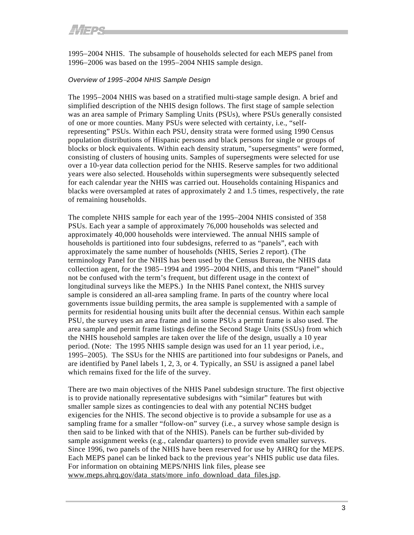1995−2004 NHIS. The subsample of households selected for each MEPS panel from 1996−2006 was based on the 1995−2004 NHIS sample design.

#### *Overview of 1995*−*2004 NHIS Sample Design*

The 1995−2004 NHIS was based on a stratified multi-stage sample design. A brief and simplified description of the NHIS design follows. The first stage of sample selection was an area sample of Primary Sampling Units (PSUs), where PSUs generally consisted of one or more counties. Many PSUs were selected with certainty, i.e., "selfrepresenting" PSUs. Within each PSU, density strata were formed using 1990 Census population distributions of Hispanic persons and black persons for single or groups of blocks or block equivalents. Within each density stratum, "supersegments" were formed, consisting of clusters of housing units. Samples of supersegments were selected for use over a 10-year data collection period for the NHIS. Reserve samples for two additional years were also selected. Households within supersegments were subsequently selected for each calendar year the NHIS was carried out. Households containing Hispanics and blacks were oversampled at rates of approximately 2 and 1.5 times, respectively, the rate of remaining households.

The complete NHIS sample for each year of the 1995−2004 NHIS consisted of 358 PSUs. Each year a sample of approximately 76,000 households was selected and approximately 40,000 households were interviewed. The annual NHIS sample of households is partitioned into four subdesigns, referred to as "panels", each with approximately the same number of households (NHIS, Series 2 report). (The terminology Panel for the NHIS has been used by the Census Bureau, the NHIS data collection agent, for the 1985−1994 and 1995−2004 NHIS, and this term "Panel" should not be confused with the term's frequent, but different usage in the context of longitudinal surveys like the MEPS.) In the NHIS Panel context, the NHIS survey sample is considered an all-area sampling frame. In parts of the country where local governments issue building permits, the area sample is supplemented with a sample of permits for residential housing units built after the decennial census. Within each sample PSU, the survey uses an area frame and in some PSUs a permit frame is also used. The area sample and permit frame listings define the Second Stage Units (SSUs) from which the NHIS household samples are taken over the life of the design, usually a 10 year period. (Note: The 1995 NHIS sample design was used for an 11 year period, i.e., 1995−2005). The SSUs for the NHIS are partitioned into four subdesigns or Panels, and are identified by Panel labels 1, 2, 3, or 4. Typically, an SSU is assigned a panel label which remains fixed for the life of the survey.

There are two main objectives of the NHIS Panel subdesign structure. The first objective is to provide nationally representative subdesigns with "similar" features but with smaller sample sizes as contingencies to deal with any potential NCHS budget exigencies for the NHIS. The second objective is to provide a subsample for use as a sampling frame for a smaller "follow-on" survey (i.e., a survey whose sample design is then said to be linked with that of the NHIS). Panels can be further sub-divided by sample assignment weeks (e.g., calendar quarters) to provide even smaller surveys. Since 1996, two panels of the NHIS have been reserved for use by AHRQ for the MEPS. Each MEPS panel can be linked back to the previous year's NHIS public use data files. For information on obtaining MEPS/NHIS link files, please see [www.meps.ahrq.gov/data\\_stats/more\\_info\\_download\\_data\\_files.jsp](http://www.meps.ahrq.gov/data_stats/more_info_download_data_files.jsp).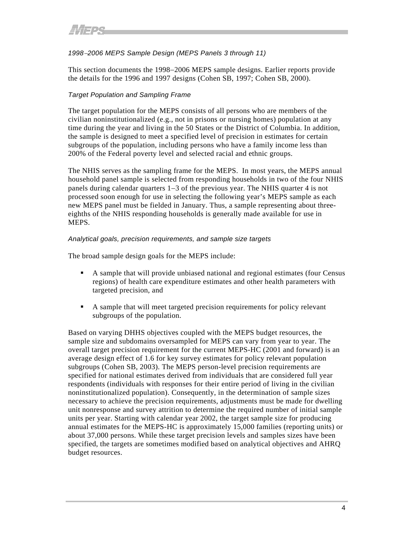# *1998*−*2006 MEPS Sample Design (MEPS Panels 3 through 11)*

This section documents the 1998−2006 MEPS sample designs. Earlier reports provide the details for the 1996 and 1997 designs (Cohen SB, 1997; Cohen SB, 2000).

# *Target Population and Sampling Frame*

The target population for the MEPS consists of all persons who are members of the civilian noninstitutionalized (e.g., not in prisons or nursing homes) population at any time during the year and living in the 50 States or the District of Columbia. In addition, the sample is designed to meet a specified level of precision in estimates for certain subgroups of the population, including persons who have a family income less than 200% of the Federal poverty level and selected racial and ethnic groups.

The NHIS serves as the sampling frame for the MEPS. In most years, the MEPS annual household panel sample is selected from responding households in two of the four NHIS panels during calendar quarters 1−3 of the previous year. The NHIS quarter 4 is not processed soon enough for use in selecting the following year's MEPS sample as each new MEPS panel must be fielded in January. Thus, a sample representing about threeeighths of the NHIS responding households is generally made available for use in MEPS.

#### *Analytical goals, precision requirements, and sample size targets*

The broad sample design goals for the MEPS include:

- A sample that will provide unbiased national and regional estimates (four Census regions) of health care expenditure estimates and other health parameters with targeted precision, and
- A sample that will meet targeted precision requirements for policy relevant subgroups of the population.

Based on varying DHHS objectives coupled with the MEPS budget resources, the sample size and subdomains oversampled for MEPS can vary from year to year. The overall target precision requirement for the current MEPS-HC (2001 and forward) is an average design effect of 1.6 for key survey estimates for policy relevant population subgroups (Cohen SB, 2003). The MEPS person-level precision requirements are specified for national estimates derived from individuals that are considered full year respondents (individuals with responses for their entire period of living in the civilian noninstitutionalized population). Consequently, in the determination of sample sizes necessary to achieve the precision requirements, adjustments must be made for dwelling unit nonresponse and survey attrition to determine the required number of initial sample units per year. Starting with calendar year 2002, the target sample size for producing annual estimates for the MEPS-HC is approximately 15,000 families (reporting units) or about 37,000 persons. While these target precision levels and samples sizes have been specified, the targets are sometimes modified based on analytical objectives and AHRQ budget resources.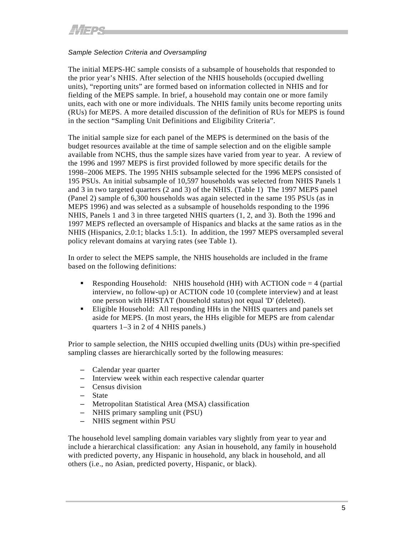# *Sample Selection Criteria and Oversampling*

The initial MEPS-HC sample consists of a subsample of households that responded to the prior year's NHIS. After selection of the NHIS households (occupied dwelling units), "reporting units" are formed based on information collected in NHIS and for fielding of the MEPS sample. In brief, a household may contain one or more family units, each with one or more individuals. The NHIS family units become reporting units (RUs) for MEPS. A more detailed discussion of the definition of RUs for MEPS is found in the section "Sampling Unit Definitions and Eligibility Criteria".

The initial sample size for each panel of the MEPS is determined on the basis of the budget resources available at the time of sample selection and on the eligible sample available from NCHS, thus the sample sizes have varied from year to year. A review of the 1996 and 1997 MEPS is first provided followed by more specific details for the 1998−2006 MEPS. The 1995 NHIS subsample selected for the 1996 MEPS consisted of 195 PSUs. An initial subsample of 10,597 households was selected from NHIS Panels 1 and 3 in two targeted quarters (2 and 3) of the NHIS. (Table 1) The 1997 MEPS panel (Panel 2) sample of 6,300 households was again selected in the same 195 PSUs (as in MEPS 1996) and was selected as a subsample of households responding to the 1996 NHIS, Panels 1 and 3 in three targeted NHIS quarters (1, 2, and 3). Both the 1996 and 1997 MEPS reflected an oversample of Hispanics and blacks at the same ratios as in the NHIS (Hispanics, 2.0:1; blacks 1.5:1). In addition, the 1997 MEPS oversampled several policy relevant domains at varying rates (see Table 1).

In order to select the MEPS sample, the NHIS households are included in the frame based on the following definitions:

- Responding Household: NHIS household (HH) with ACTION code  $=$  4 (partial interview, no follow-up) or ACTION code 10 (complete interview) and at least one person with HHSTAT (household status) not equal 'D' (deleted).
- Eligible Household: All responding HHs in the NHIS quarters and panels set aside for MEPS. (In most years, the HHs eligible for MEPS are from calendar quarters 1−3 in 2 of 4 NHIS panels.)

Prior to sample selection, the NHIS occupied dwelling units (DUs) within pre-specified sampling classes are hierarchically sorted by the following measures:

- Calendar year quarter
- Interview week within each respective calendar quarter
- Census division
- State
- Metropolitan Statistical Area (MSA) classification
- NHIS primary sampling unit (PSU)
- NHIS segment within PSU

The household level sampling domain variables vary slightly from year to year and include a hierarchical classification: any Asian in household, any family in household with predicted poverty, any Hispanic in household, any black in household, and all others (i.e., no Asian, predicted poverty, Hispanic, or black).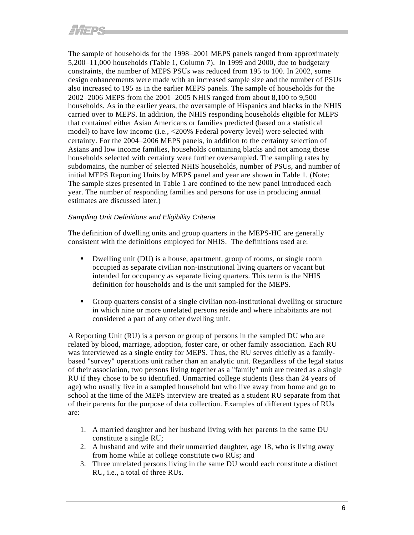The sample of households for the 1998–2001 MEPS panels ranged from approximately 5,200−11,000 households (Table 1, Column 7). In 1999 and 2000, due to budgetary constraints, the number of MEPS PSUs was reduced from 195 to 100. In 2002, some design enhancements were made with an increased sample size and the number of PSUs also increased to 195 as in the earlier MEPS panels. The sample of households for the 2002−2006 MEPS from the 2001−2005 NHIS ranged from about 8,100 to 9,500 households. As in the earlier years, the oversample of Hispanics and blacks in the NHIS carried over to MEPS. In addition, the NHIS responding households eligible for MEPS that contained either Asian Americans or families predicted (based on a statistical model) to have low income (i.e., <200% Federal poverty level) were selected with certainty. For the 2004−2006 MEPS panels, in addition to the certainty selection of Asians and low income families, households containing blacks and not among those households selected with certainty were further oversampled. The sampling rates by subdomains, the number of selected NHIS households, number of PSUs, and number of initial MEPS Reporting Units by MEPS panel and year are shown in Table 1. (Note: The sample sizes presented in Table 1 are confined to the new panel introduced each year. The number of responding families and persons for use in producing annual estimates are discussed later.)

# *Sampling Unit Definitions and Eligibility Criteria*

The definition of dwelling units and group quarters in the MEPS-HC are generally consistent with the definitions employed for NHIS. The definitions used are:

- Dwelling unit (DU) is a house, apartment, group of rooms, or single room occupied as separate civilian non-institutional living quarters or vacant but intended for occupancy as separate living quarters. This term is the NHIS definition for households and is the unit sampled for the MEPS.
- Group quarters consist of a single civilian non-institutional dwelling or structure in which nine or more unrelated persons reside and where inhabitants are not considered a part of any other dwelling unit.

A Reporting Unit (RU) is a person or group of persons in the sampled DU who are related by blood, marriage, adoption, foster care, or other family association. Each RU was interviewed as a single entity for MEPS. Thus, the RU serves chiefly as a familybased "survey" operations unit rather than an analytic unit. Regardless of the legal status of their association, two persons living together as a "family" unit are treated as a single RU if they chose to be so identified. Unmarried college students (less than 24 years of age) who usually live in a sampled household but who live away from home and go to school at the time of the MEPS interview are treated as a student RU separate from that of their parents for the purpose of data collection. Examples of different types of RUs are:

- 1. A married daughter and her husband living with her parents in the same DU constitute a single RU;
- 2. A husband and wife and their unmarried daughter, age 18, who is living away from home while at college constitute two RUs; and
- 3. Three unrelated persons living in the same DU would each constitute a distinct RU, i.e., a total of three RUs.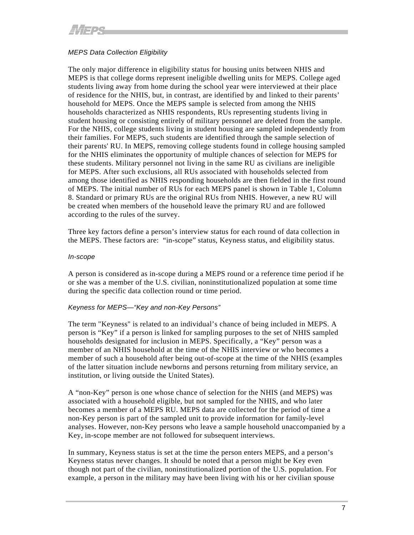# <span id="page-11-0"></span>*MEPS Data Collection Eligibility*

The only major difference in eligibility status for housing units between NHIS and MEPS is that college dorms represent ineligible dwelling units for MEPS. College aged students living away from home during the school year were interviewed at their place of residence for the NHIS, but, in contrast, are identified by and linked to their parents' household for MEPS. Once the MEPS sample is selected from among the NHIS households characterized as NHIS respondents, RUs representing students living in student housing or consisting entirely of military personnel are deleted from the sample. For the NHIS, college students living in student housing are sampled independently from their families. For MEPS, such students are identified through the sample selection of their parents' RU. In MEPS, removing college students found in college housing sampled for the NHIS eliminates the opportunity of multiple chances of selection for MEPS for these students. Military personnel not living in the same RU as civilians are ineligible for MEPS. After such exclusions, all RUs associated with households selected from among those identified as NHIS responding households are then fielded in the first round of MEPS. The initial number of RUs for each MEPS panel is shown in Table 1, Column 8. Standard or primary RUs are the original RUs from NHIS. However, a new RU will be created when members of the household leave the primary RU and are followed according to the rules of the survey.

Three key factors define a person's interview status for each round of data collection in the MEPS. These factors are: "in-scope" status, Keyness status, and eligibility status.

#### *In-scope*

A person is considered as in-scope during a MEPS round or a reference time period if he or she was a member of the U.S. civilian, noninstitutionalized population at some time during the specific data collection round or time period.

#### *Keyness for MEPS—"Key and non-Key Persons"*

The term "Keyness" is related to an individual's chance of being included in MEPS. A person is "Key" if a person is linked for sampling purposes to the set of NHIS sampled households designated for inclusion in MEPS. Specifically, a "Key" person was a member of an NHIS household at the time of the NHIS interview or who becomes a member of such a household after being out-of-scope at the time of the NHIS (examples of the latter situation include newborns and persons returning from military service, an institution, or living outside the United States).

A "non-Key" person is one whose chance of selection for the NHIS (and MEPS) was associated with a household eligible, but not sampled for the NHIS, and who later becomes a member of a MEPS RU. MEPS data are collected for the period of time a non-Key person is part of the sampled unit to provide information for family-level analyses. However, non-Key persons who leave a sample household unaccompanied by a Key, in-scope member are not followed for subsequent interviews.

In summary, Keyness status is set at the time the person enters MEPS, and a person's Keyness status never changes. It should be noted that a person might be Key even though not part of the civilian, noninstitutionalized portion of the U.S. population. For example, a person in the military may have been living with his or her civilian spouse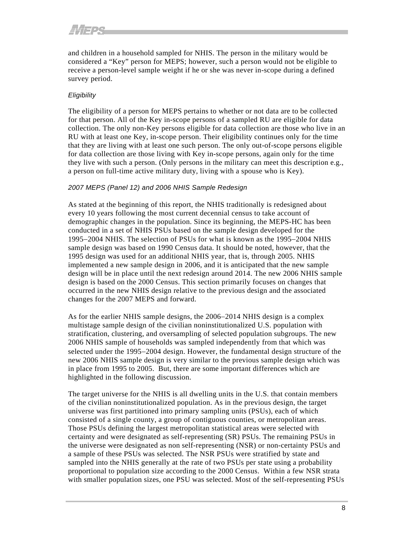and children in a household sampled for NHIS. The person in the military would be considered a "Key" person for MEPS; however, such a person would not be eligible to receive a person-level sample weight if he or she was never in-scope during a defined survey period.

# *Eligibility*

The eligibility of a person for MEPS pertains to whether or not data are to be collected for that person. All of the Key in-scope persons of a sampled RU are eligible for data collection. The only non-Key persons eligible for data collection are those who live in an RU with at least one Key, in-scope person. Their eligibility continues only for the time that they are living with at least one such person. The only out-of-scope persons eligible for data collection are those living with Key in-scope persons, again only for the time they live with such a person. (Only persons in the military can meet this description e.g., a person on full-time active military duty, living with a spouse who is Key).

# *2007 MEPS (Panel 12) and 2006 NHIS Sample Redesign*

As stated at the beginning of this report, the NHIS traditionally is redesigned about every 10 years following the most current decennial census to take account of demographic changes in the population. Since its beginning, the MEPS-HC has been conducted in a set of NHIS PSUs based on the sample design developed for the 1995−2004 NHIS. The selection of PSUs for what is known as the 1995−2004 NHIS sample design was based on 1990 Census data. It should be noted, however, that the 1995 design was used for an additional NHIS year, that is, through 2005. NHIS implemented a new sample design in 2006, and it is anticipated that the new sample design will be in place until the next redesign around 2014. The new 2006 NHIS sample design is based on the 2000 Census. This section primarily focuses on changes that occurred in the new NHIS design relative to the previous design and the associated changes for the 2007 MEPS and forward.

As for the earlier NHIS sample designs, the 2006−2014 NHIS design is a complex multistage sample design of the civilian noninstitutionalized U.S. population with stratification, clustering, and oversampling of selected population subgroups. The new 2006 NHIS sample of households was sampled independently from that which was selected under the 1995−2004 design. However, the fundamental design structure of the new 2006 NHIS sample design is very similar to the previous sample design which was in place from 1995 to 2005. But, there are some important differences which are highlighted in the following discussion.

The target universe for the NHIS is all dwelling units in the U.S. that contain members of the civilian noninstitutionalized population. As in the previous design, the target universe was first partitioned into primary sampling units (PSUs), each of which consisted of a single county, a group of contiguous counties, or metropolitan areas. Those PSUs defining the largest metropolitan statistical areas were selected with certainty and were designated as self-representing (SR) PSUs. The remaining PSUs in the universe were designated as non self-representing (NSR) or non-certainty PSUs and a sample of these PSUs was selected. The NSR PSUs were stratified by state and sampled into the NHIS generally at the rate of two PSUs per state using a probability proportional to population size according to the 2000 Census. Within a few NSR strata with smaller population sizes, one PSU was selected. Most of the self-representing PSUs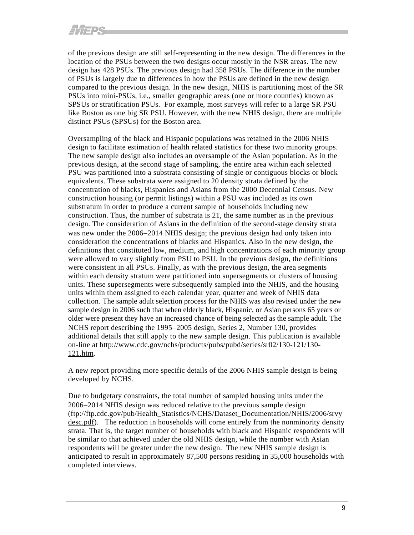of the previous design are still self-representing in the new design. The differences in the location of the PSUs between the two designs occur mostly in the NSR areas. The new design has 428 PSUs. The previous design had 358 PSUs. The difference in the number of PSUs is largely due to differences in how the PSUs are defined in the new design compared to the previous design. In the new design, NHIS is partitioning most of the SR PSUs into mini-PSUs, i.e., smaller geographic areas (one or more counties) known as SPSUs or stratification PSUs. For example, most surveys will refer to a large SR PSU like Boston as one big SR PSU. However, with the new NHIS design, there are multiple distinct PSUs (SPSUs) for the Boston area.

Oversampling of the black and Hispanic populations was retained in the 2006 NHIS design to facilitate estimation of health related statistics for these two minority groups. The new sample design also includes an oversample of the Asian population. As in the previous design, at the second stage of sampling, the entire area within each selected PSU was partitioned into a substrata consisting of single or contiguous blocks or block equivalents. These substrata were assigned to 20 density strata defined by the concentration of blacks, Hispanics and Asians from the 2000 Decennial Census. New construction housing (or permit listings) within a PSU was included as its own substratum in order to produce a current sample of households including new construction. Thus, the number of substrata is 21, the same number as in the previous design. The consideration of Asians in the definition of the second-stage density strata was new under the 2006−2014 NHIS design; the previous design had only taken into consideration the concentrations of blacks and Hispanics. Also in the new design, the definitions that constituted low, medium, and high concentrations of each minority group were allowed to vary slightly from PSU to PSU. In the previous design, the definitions were consistent in all PSUs. Finally, as with the previous design, the area segments within each density stratum were partitioned into supersegments or clusters of housing units. These supersegments were subsequently sampled into the NHIS, and the housing units within them assigned to each calendar year, quarter and week of NHIS data collection. The sample adult selection process for the NHIS was also revised under the new sample design in 2006 such that when elderly black, Hispanic, or Asian persons 65 years or older were present they have an increased chance of being selected as the sample adult. The NCHS report describing the 1995−2005 design, Series 2, Number 130, provides additional details that still apply to the new sample design. This publication is available on-line at [http://www.cdc.gov/nchs/products/pubs/pubd/series/sr02/130-121/130-](http://www.cdc.gov/nchs/products/pubs/pubd/series/sr02/130-121/130-121.htm) [121.htm.](http://www.cdc.gov/nchs/products/pubs/pubd/series/sr02/130-121/130-121.htm)

A new report providing more specific details of the 2006 NHIS sample design is being developed by NCHS.

Due to budgetary constraints, the total number of sampled housing units under the 2006−2014 NHIS design was reduced relative to the previous sample design ([ftp://ftp.cdc.gov/pub/Health\\_Statistics/NCHS/Dataset\\_Documentation/NHIS/2006/srvy](ftp://ftp.cdc.gov/pub/Health_Statistics/NCHS/Dataset_Documentation/NHIS/2006/srvydesc.pdf) [desc.pdf](ftp://ftp.cdc.gov/pub/Health_Statistics/NCHS/Dataset_Documentation/NHIS/2006/srvydesc.pdf)). The reduction in households will come entirely from the nonminority density strata. That is, the target number of households with black and Hispanic respondents will be similar to that achieved under the old NHIS design, while the number with Asian respondents will be greater under the new design. The new NHIS sample design is anticipated to result in approximately 87,500 persons residing in 35,000 households with completed interviews.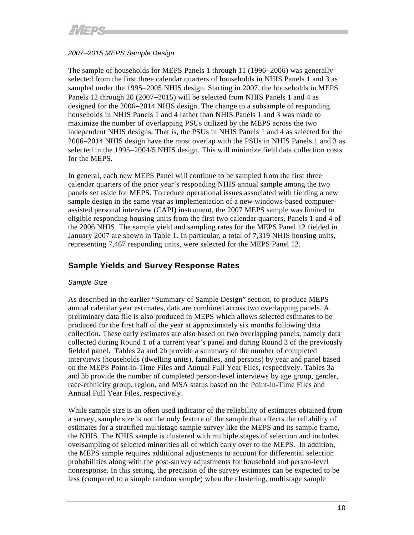# *2007*−*2015 MEPS Sample Design*

The sample of households for MEPS Panels 1 through 11 (1996−2006) was generally selected from the first three calendar quarters of households in NHIS Panels 1 and 3 as sampled under the 1995–2005 NHIS design. Starting in 2007, the households in MEPS Panels 12 through 20 (2007−2015) will be selected from NHIS Panels 1 and 4 as designed for the 2006−2014 NHIS design. The change to a subsample of responding households in NHIS Panels 1 and 4 rather than NHIS Panels 1 and 3 was made to maximize the number of overlapping PSUs utilized by the MEPS across the two independent NHIS designs. That is, the PSUs in NHIS Panels 1 and 4 as selected for the 2006−2014 NHIS design have the most overlap with the PSUs in NHIS Panels 1 and 3 as selected in the 1995−2004/5 NHIS design. This will minimize field data collection costs for the MEPS.

In general, each new MEPS Panel will continue to be sampled from the first three calendar quarters of the prior year's responding NHIS annual sample among the two panels set aside for MEPS. To reduce operational issues associated with fielding a new sample design in the same year as implementation of a new windows-based computerassisted personal interview (CAPI) instrument, the 2007 MEPS sample was limited to eligible responding housing units from the first two calendar quarters, Panels 1 and 4 of the 2006 NHIS. The sample yield and sampling rates for the MEPS Panel 12 fielded in January 2007 are shown in Table 1. In particular, a total of 7,319 NHIS housing units, representing 7,467 responding units, were selected for the MEPS Panel 12.

# **Sample Yields and Survey Response Rates**

# *Sample Size*

As described in the earlier "Summary of Sample Design" section, to produce MEPS annual calendar year estimates, data are combined across two overlapping panels. A preliminary data file is also produced in MEPS which allows selected estimates to be produced for the first half of the year at approximately six months following data collection. These early estimates are also based on two overlapping panels, namely data collected during Round 1 of a current year's panel and during Round 3 of the previously fielded panel. Tables 2a and 2b provide a summary of the number of completed interviews (households (dwelling units), families, and persons) by year and panel based on the MEPS Point-in-Time Files and Annual Full Year Files, respectively. Tables 3a and 3b provide the number of completed person-level interviews by age group, gender, race-ethnicity group, region, and MSA status based on the Point-in-Time Files and Annual Full Year Files, respectively.

While sample size is an often used indicator of the reliability of estimates obtained from a survey, sample size is not the only feature of the sample that affects the reliability of estimates for a stratified multistage sample survey like the MEPS and its sample frame, the NHIS. The NHIS sample is clustered with multiple stages of selection and includes oversampling of selected minorities all of which carry over to the MEPS. In addition, the MEPS sample requires additional adjustments to account for differential selection probabilities along with the post-survey adjustments for household and person-level nonresponse. In this setting, the precision of the survey estimates can be expected to be less (compared to a simple random sample) when the clustering, multistage sample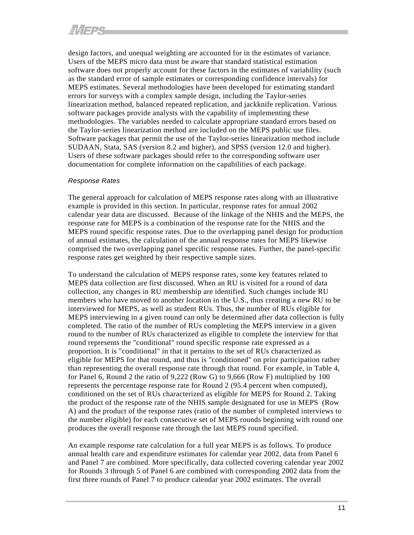design factors, and unequal weighting are accounted for in the estimates of variance. Users of the MEPS micro data must be aware that standard statistical estimation software does not properly account for these factors in the estimates of variability (such as the standard error of sample estimates or corresponding confidence intervals) for MEPS estimates. Several methodologies have been developed for estimating standard errors for surveys with a complex sample design, including the Taylor-series linearization method, balanced repeated replication, and jackknife replication. Various software packages provide analysts with the capability of implementing these methodologies. The variables needed to calculate appropriate standard errors based on the Taylor-series linearization method are included on the MEPS public use files. Software packages that permit the use of the Taylor-series linearization method include SUDAAN, Stata, SAS (version 8.2 and higher), and SPSS (version 12.0 and higher). Users of these software packages should refer to the corresponding software user documentation for complete information on the capabilities of each package.

# *Response Rates*

The general approach for calculation of MEPS response rates along with an illustrative example is provided in this section. In particular, response rates for annual 2002 calendar year data are discussed. Because of the linkage of the NHIS and the MEPS, the response rate for MEPS is a combination of the response rate for the NHIS and the MEPS round specific response rates. Due to the overlapping panel design for production of annual estimates, the calculation of the annual response rates for MEPS likewise comprised the two overlapping panel specific response rates. Further, the panel-specific response rates get weighted by their respective sample sizes.

To understand the calculation of MEPS response rates, some key features related to MEPS data collection are first discussed. When an RU is visited for a round of data collection, any changes in RU membership are identified. Such changes include RU members who have moved to another location in the U.S., thus creating a new RU to be interviewed for MEPS, as well as student RUs. Thus, the number of RUs eligible for MEPS interviewing in a given round can only be determined after data collection is fully completed. The ratio of the number of RUs completing the MEPS interview in a given round to the number of RUs characterized as eligible to complete the interview for that round represents the "conditional" round specific response rate expressed as a proportion. It is "conditional" in that it pertains to the set of RUs characterized as eligible for MEPS for that round, and thus is "conditioned" on prior participation rather than representing the overall response rate through that round. For example, in Table 4, for Panel 6, Round 2 the ratio of 9,222 (Row G) to 9,666 (Row F) multiplied by 100 represents the percentage response rate for Round 2 (95.4 percent when computed), conditioned on the set of RUs characterized as eligible for MEPS for Round 2. Taking the product of the response rate of the NHIS sample designated for use in MEPS (Row A) and the product of the response rates (ratio of the number of completed interviews to the number eligible) for each consecutive set of MEPS rounds beginning with round one produces the overall response rate through the last MEPS round specified.

An example response rate calculation for a full year MEPS is as follows. To produce annual health care and expenditure estimates for calendar year 2002, data from Panel 6 and Panel 7 are combined. More specifically, data collected covering calendar year 2002 for Rounds 3 through 5 of Panel 6 are combined with corresponding 2002 data from the first three rounds of Panel 7 to produce calendar year 2002 estimates. The overall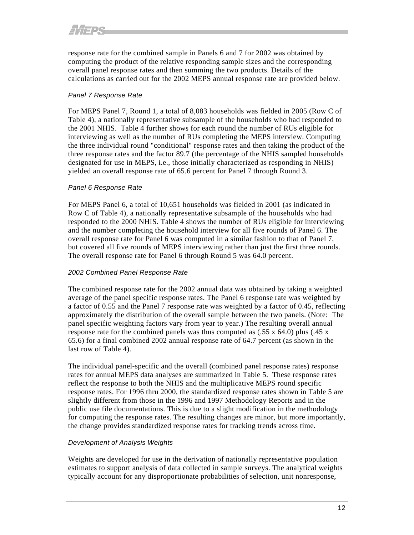response rate for the combined sample in Panels 6 and 7 for 2002 was obtained by computing the product of the relative responding sample sizes and the corresponding overall panel response rates and then summing the two products. Details of the calculations as carried out for the 2002 MEPS annual response rate are provided below.

# *Panel 7 Response Rate*

For MEPS Panel 7, Round 1, a total of 8,083 households was fielded in 2005 (Row C of Table 4), a nationally representative subsample of the households who had responded to the 2001 NHIS. Table 4 further shows for each round the number of RUs eligible for interviewing as well as the number of RUs completing the MEPS interview. Computing the three individual round "conditional" response rates and then taking the product of the three response rates and the factor 89.7 (the percentage of the NHIS sampled households designated for use in MEPS, i.e., those initially characterized as responding in NHIS) yielded an overall response rate of 65.6 percent for Panel 7 through Round 3.

# *Panel 6 Response Rate*

For MEPS Panel 6, a total of 10,651 households was fielded in 2001 (as indicated in Row C of Table 4), a nationally representative subsample of the households who had responded to the 2000 NHIS. Table 4 shows the number of RUs eligible for interviewing and the number completing the household interview for all five rounds of Panel 6. The overall response rate for Panel 6 was computed in a similar fashion to that of Panel 7, but covered all five rounds of MEPS interviewing rather than just the first three rounds. The overall response rate for Panel 6 through Round 5 was 64.0 percent.

#### *2002 Combined Panel Response Rate*

The combined response rate for the 2002 annual data was obtained by taking a weighted average of the panel specific response rates. The Panel 6 response rate was weighted by a factor of 0.55 and the Panel 7 response rate was weighted by a factor of 0.45, reflecting approximately the distribution of the overall sample between the two panels. (Note: The panel specific weighting factors vary from year to year.) The resulting overall annual response rate for the combined panels was thus computed as  $(.55 \times 64.0)$  plus  $(.45 \times$ 65.6) for a final combined 2002 annual response rate of 64.7 percent (as shown in the last row of Table 4).

The individual panel-specific and the overall (combined panel response rates) response rates for annual MEPS data analyses are summarized in Table 5. These response rates reflect the response to both the NHIS and the multiplicative MEPS round specific response rates. For 1996 thru 2000, the standardized response rates shown in Table 5 are slightly different from those in the 1996 and 1997 Methodology Reports and in the public use file documentations. This is due to a slight modification in the methodology for computing the response rates. The resulting changes are minor, but more importantly, the change provides standardized response rates for tracking trends across time.

# *Development of Analysis Weights*

Weights are developed for use in the derivation of nationally representative population estimates to support analysis of data collected in sample surveys. The analytical weights typically account for any disproportionate probabilities of selection, unit nonresponse,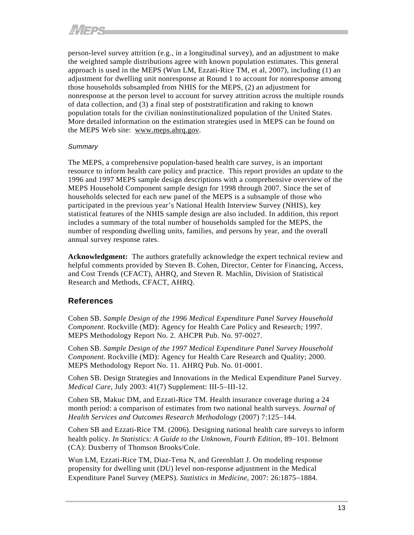person-level survey attrition (e.g., in a longitudinal survey), and an adjustment to make the weighted sample distributions agree with known population estimates. This general approach is used in the MEPS (Wun LM, Ezzati-Rice TM, et al, 2007), including (1) an adjustment for dwelling unit nonresponse at Round 1 to account for nonresponse among those households subsampled from NHIS for the MEPS, (2) an adjustment for nonresponse at the person level to account for survey attrition across the multiple rounds of data collection, and (3) a final step of poststratification and raking to known population totals for the civilian noninstitutionalized population of the United States. More detailed information on the estimation strategies used in MEPS can be found on the MEPS Web site: [www.meps.ahrq.gov.](http://www.meps.ahrq.gov/)

# *Summary*

The MEPS, a comprehensive population-based health care survey, is an important resource to inform health care policy and practice. This report provides an update to the 1996 and 1997 MEPS sample design descriptions with a comprehensive overview of the MEPS Household Component sample design for 1998 through 2007. Since the set of households selected for each new panel of the MEPS is a subsample of those who participated in the previous year's National Health Interview Survey (NHIS), key statistical features of the NHIS sample design are also included. In addition, this report includes a summary of the total number of households sampled for the MEPS, the number of responding dwelling units, families, and persons by year, and the overall annual survey response rates.

**Acknowledgment:** The authors gratefully acknowledge the expert technical review and helpful comments provided by Steven B. Cohen, Director, Center for Financing, Access, and Cost Trends (CFACT), AHRQ, and Steven R. Machlin, Division of Statistical Research and Methods, CFACT, AHRQ.

# **References**

Cohen SB. *Sample Design of the 1996 Medical Expenditure Panel Survey Household Component*. Rockville (MD): Agency for Health Care Policy and Research; 1997. MEPS Methodology Report No. 2. AHCPR Pub. No. 97-0027.

Cohen SB. *Sample Design of the 1997 Medical Expenditure Panel Survey Household Component*. Rockville (MD): Agency for Health Care Research and Quality; 2000. MEPS Methodology Report No. 11. AHRQ Pub. No. 01-0001.

Cohen SB. Design Strategies and Innovations in the Medical Expenditure Panel Survey. *Medical Care*, July 2003: 41(7) Supplement: III-5−III-12.

Cohen SB, Makuc DM, and Ezzati-Rice TM. Health insurance coverage during a 24 month period: a comparison of estimates from two national health surveys. *Journal of Health Services and Outcomes Research Methodology* (2007) 7:125−144.

Cohen SB and Ezzati-Rice TM. (2006). Designing national health care surveys to inform health policy. *In Statistics: A Guide to the Unknown, Fourth Edition*, 89−101. Belmont (CA): Duxberry of Thomson Brooks/Cole.

Wun LM, Ezzati-Rice TM, Diaz-Tena N, and Greenblatt J. On modeling response propensity for dwelling unit (DU) level non-response adjustment in the Medical Expenditure Panel Survey (MEPS). *Statistics in Medicine*, 2007: 26:1875−1884.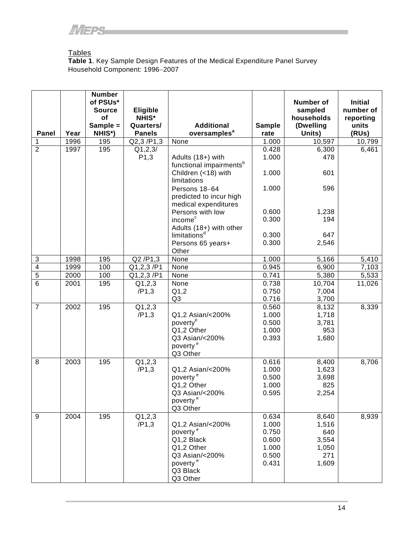# Tables

**Table 1**. Key Sample Design Features of the Medical Expenditure Panel Survey Household Component: 1996−2007

|                         |      | <b>Number</b><br>of PSUs*<br><b>Source</b> | Eligible                  |                                               |                | Number of<br>sampled    | <b>Initial</b><br>number of |
|-------------------------|------|--------------------------------------------|---------------------------|-----------------------------------------------|----------------|-------------------------|-----------------------------|
|                         |      | of<br>Sample =                             | <b>NHIS*</b><br>Quarters/ | <b>Additional</b>                             | <b>Sample</b>  | households<br>(Dwelling | reporting<br>units          |
| Panel                   | Year | NHIS*)                                     | <b>Panels</b>             | oversamples <sup>a</sup>                      | rate           | Units)                  | (RUs)                       |
| 1                       | 1996 | 195                                        | Q2,3/P1,3                 | None                                          | 1.000          | 10,597                  | 10,799                      |
| $\overline{2}$          | 1997 | 195                                        | Q1, 2, 3/                 |                                               | 0.428          | 6,300                   | 6,461                       |
|                         |      |                                            | P <sub>1</sub> ,3         | Adults (18+) with                             | 1.000          | 478                     |                             |
|                         |      |                                            |                           | functional impairments <sup>b</sup>           |                |                         |                             |
|                         |      |                                            |                           | Children (<18) with<br>limitations            | 1.000          | 601                     |                             |
|                         |      |                                            |                           | Persons 18-64                                 | 1.000          | 596                     |                             |
|                         |      |                                            |                           | predicted to incur high                       |                |                         |                             |
|                         |      |                                            |                           | medical expenditures                          |                |                         |                             |
|                         |      |                                            |                           | Persons with low                              | 0.600          | 1,238                   |                             |
|                         |      |                                            |                           | income <sup>c</sup>                           | 0.300          | 194                     |                             |
|                         |      |                                            |                           | Adults (18+) with other                       | 0.300          | 647                     |                             |
|                         |      |                                            |                           | limitations <sup>d</sup><br>Persons 65 years+ | 0.300          | 2,546                   |                             |
|                         |      |                                            |                           | Other                                         |                |                         |                             |
| 3                       | 1998 | 195                                        | $\overline{Q2}$ /P1,3     | None                                          | 1.000          | 5,166                   | 5,410                       |
| $\overline{\mathbf{4}}$ | 1999 | 100                                        | Q1, 2, 3 / P1             | None                                          | 0.945          | 6,900                   | 7,103                       |
| $\overline{5}$          | 2000 | 100                                        | Q1,2,3/P1                 | None                                          | 0.741          | 5,380                   | 5,533                       |
| $\overline{6}$          | 2001 | 195                                        | Q1, 2, 3                  | None                                          | 0.738          | 10,704                  | 11,026                      |
|                         |      |                                            | /P1,3                     | Q1,2<br>Q3                                    | 0.750          | 7,004                   |                             |
| $\overline{7}$          | 2002 | 195                                        | Q1,2,3                    |                                               | 0.716<br>0.560 | 3,700<br>8,132          | 8,339                       |
|                         |      |                                            | /P1,3                     | Q1,2 Asian/<200%                              | 1.000          | 1,718                   |                             |
|                         |      |                                            |                           | poverty <sup>e</sup>                          | 0.500          | 3,781                   |                             |
|                         |      |                                            |                           | Q1,2 Other                                    | 1.000          | 953                     |                             |
|                         |      |                                            |                           | Q3 Asian/<200%                                | 0.393          | 1,680                   |                             |
|                         |      |                                            |                           | poverty <sup>e</sup>                          |                |                         |                             |
|                         |      |                                            |                           | Q3 Other                                      |                |                         |                             |
| 8                       | 2003 | 195                                        | Q1,2,3                    |                                               | 0.616          | 8,400                   | 8,706                       |
|                         |      |                                            | /P1,3                     | Q1,2 Asian/<200%                              | 1.000          | 1,623                   |                             |
|                         |      |                                            |                           | poverty <sup>e</sup><br>Q1,2 Other            | 0.500<br>1.000 | 3,698<br>825            |                             |
|                         |      |                                            |                           | Q3 Asian/<200%                                | 0.595          | 2,254                   |                             |
|                         |      |                                            |                           | poverty <sup>e</sup>                          |                |                         |                             |
|                         |      |                                            |                           | Q3 Other                                      |                |                         |                             |
| 9                       | 2004 | 195                                        | Q1, 2, 3                  |                                               | 0.634          | 8,640                   | 8,939                       |
|                         |      |                                            | /P1,3                     | Q1,2 Asian/<200%                              | 1.000          | 1,516                   |                             |
|                         |      |                                            |                           | poverty <sup>e</sup>                          | 0.750          | 640                     |                             |
|                         |      |                                            |                           | Q1,2 Black                                    | 0.600          | 3,554                   |                             |
|                         |      |                                            |                           | Q1,2 Other                                    | 1.000          | 1,050                   |                             |
|                         |      |                                            |                           | Q3 Asian/<200%<br>poverty <sup>e</sup>        | 0.500<br>0.431 | 271<br>1,609            |                             |
|                         |      |                                            |                           | Q3 Black                                      |                |                         |                             |
|                         |      |                                            |                           | Q3 Other                                      |                |                         |                             |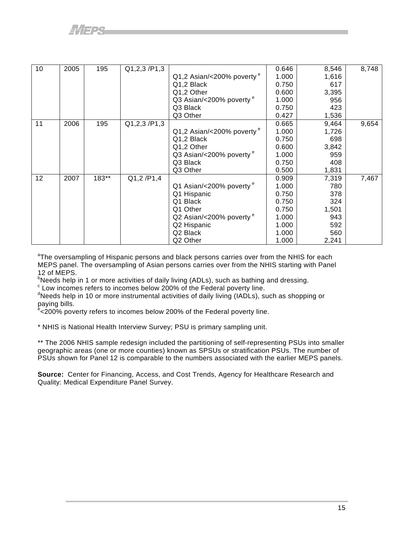| 10 | 2005 | 195   | Q1,2,3/P1,3 |                                     | 0.646 | 8,546 | 8,748 |
|----|------|-------|-------------|-------------------------------------|-------|-------|-------|
|    |      |       |             | Q1,2 Asian/<200% poverty $e$        | 1.000 | 1,616 |       |
|    |      |       |             | Q1,2 Black                          | 0.750 | 617   |       |
|    |      |       |             | Q1,2 Other                          | 0.600 | 3,395 |       |
|    |      |       |             | Q3 Asian/<200% poverty <sup>e</sup> | 1.000 | 956   |       |
|    |      |       |             | Q3 Black                            | 0.750 | 423   |       |
|    |      |       |             | Q3 Other                            | 0.427 | 1,536 |       |
| 11 | 2006 | 195   | Q1,2,3/P1,3 |                                     | 0.665 | 9,464 | 9,654 |
|    |      |       |             | $Q1,2$ Asian/<200% poverty $e$      | 1.000 | 1,726 |       |
|    |      |       |             | Q1,2 Black                          | 0.750 | 698   |       |
|    |      |       |             | Q1,2 Other                          | 0.600 | 3,842 |       |
|    |      |       |             | Q3 Asian/<200% poverty <sup>e</sup> | 1.000 | 959   |       |
|    |      |       |             | Q3 Black                            | 0.750 | 408   |       |
|    |      |       |             | Q3 Other                            | 0.500 | 1,831 |       |
| 12 | 2007 | 183** | Q1,2/P1,4   |                                     | 0.909 | 7,319 | 7,467 |
|    |      |       |             | Q1 Asian/<200% poverty <sup>e</sup> | 1.000 | 780   |       |
|    |      |       |             | Q1 Hispanic                         | 0.750 | 378   |       |
|    |      |       |             | Q1 Black                            | 0.750 | 324   |       |
|    |      |       |             | Q1 Other                            | 0.750 | 1,501 |       |
|    |      |       |             | Q2 Asian/<200% poverty <sup>e</sup> | 1.000 | 943   |       |
|    |      |       |             | Q2 Hispanic                         | 1.000 | 592   |       |
|    |      |       |             | Q2 Black                            | 1.000 | 560   |       |
|    |      |       |             | Q2 Other                            | 1.000 | 2,241 |       |

<sup>a</sup>The oversampling of Hispanic persons and black persons carries over from the NHIS for each MEPS panel. The oversampling of Asian persons carries over from the NHIS starting with Panel 12 of MEPS.

<sup>b</sup>Needs help in 1 or more activities of daily living (ADLs), such as bathing and dressing.

c Low incomes refers to incomes below 200% of the Federal poverty line.

<sup>d</sup>Needs help in 10 or more instrumental activities of daily living (IADLs), such as shopping or

paying bills.<br><sup>e</sup><200% poverty refers to incomes below 200% of the Federal poverty line.

\* NHIS is National Health Interview Survey; PSU is primary sampling unit.

\*\* The 2006 NHIS sample redesign included the partitioning of self-representing PSUs into smaller geographic areas (one or more counties) known as SPSUs or stratification PSUs. The number of PSUs shown for Panel 12 is comparable to the numbers associated with the earlier MEPS panels.

**Source:** Center for Financing, Access, and Cost Trends, Agency for Healthcare Research and Quality: Medical Expenditure Panel Survey.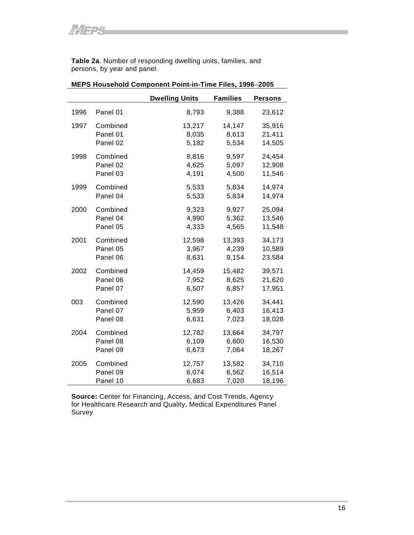**Table 2a**. Number of responding dwelling units, families, and persons, by year and panel.

|      |          | <b>Dwelling Units</b> | <b>Families</b> | <b>Persons</b> |
|------|----------|-----------------------|-----------------|----------------|
| 1996 | Panel 01 | 8,793                 | 9,388           | 23,612         |
| 1997 | Combined | 13,217                | 14,147          | 35,916         |
|      | Panel 01 | 8,035                 | 8,613           | 21,411         |
|      | Panel 02 | 5,182                 | 5,534           | 14,505         |
| 1998 | Combined | 8,816                 | 9,597           | 24,454         |
|      | Panel 02 | 4,625                 | 5,097           | 12,908         |
|      | Panel 03 | 4,191                 | 4,500           | 11,546         |
| 1999 | Combined | 5,533                 | 5,834           | 14,974         |
|      | Panel 04 | 5,533                 | 5,834           | 14,974         |
| 2000 | Combined | 9,323                 | 9,927           | 25,094         |
|      | Panel 04 | 4,990                 | 5,362           | 13,546         |
|      | Panel 05 | 4,333                 | 4,565           | 11,548         |
| 2001 | Combined | 12,598                | 13,393          | 34,173         |
|      | Panel 05 | 3,967                 | 4,239           | 10,589         |
|      | Panel 06 | 8,631                 | 9,154           | 23,584         |
| 2002 | Combined | 14,459                | 15,482          | 39,571         |
|      | Panel 06 | 7,952                 | 8,625           | 21,620         |
|      | Panel 07 | 6,507                 | 6,857           | 17,951         |
| 003  | Combined | 12,590                | 13,426          | 34,441         |
|      | Panel 07 | 5,959                 | 6,403           | 16,413         |
|      | Panel 08 | 6,631                 | 7,023           | 18,028         |
| 2004 | Combined | 12,782                | 13,664          | 34,797         |
|      | Panel 08 | 6,109                 | 6,600           | 16,530         |
|      | Panel 09 | 6,673                 | 7,064           | 18,267         |
| 2005 | Combined | 12,757                | 13,582          | 34,710         |
|      | Panel 09 | 6,074                 | 6,562           | 16,514         |
|      | Panel 10 | 6,683                 | 7,020           | 18,196         |

# **MEPS Household Component Point-in-Time Files, 1996**−**2005**

**Source:** Center for Financing, Access, and Cost Trends, Agency for Healthcare Research and Quality, Medical Expenditures Panel Survey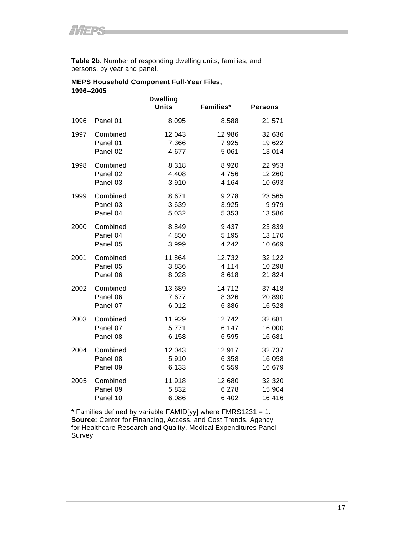**Table 2b**. Number of responding dwelling units, families, and persons, by year and panel.

|           | <b>MEPS Household Component Full-Year Files,</b> |
|-----------|--------------------------------------------------|
| 1996-2005 |                                                  |

|      |          | <b>Dwelling</b><br><b>Units</b> | Families* | <b>Persons</b> |
|------|----------|---------------------------------|-----------|----------------|
| 1996 | Panel 01 | 8,095                           | 8,588     | 21,571         |
| 1997 | Combined | 12,043                          | 12,986    | 32,636         |
|      | Panel 01 | 7,366                           | 7,925     | 19,622         |
|      | Panel 02 | 4,677                           | 5,061     | 13,014         |
| 1998 | Combined | 8,318                           | 8,920     | 22,953         |
|      | Panel 02 | 4,408                           | 4,756     | 12,260         |
|      | Panel 03 | 3,910                           | 4,164     | 10,693         |
| 1999 | Combined | 8,671                           | 9,278     | 23,565         |
|      | Panel 03 | 3,639                           | 3,925     | 9,979          |
|      | Panel 04 | 5,032                           | 5,353     | 13,586         |
| 2000 | Combined | 8,849                           | 9,437     | 23,839         |
|      | Panel 04 | 4,850                           | 5,195     | 13,170         |
|      | Panel 05 | 3,999                           | 4,242     | 10,669         |
| 2001 | Combined | 11,864                          | 12,732    | 32,122         |
|      | Panel 05 | 3,836                           | 4,114     | 10,298         |
|      | Panel 06 | 8,028                           | 8,618     | 21,824         |
| 2002 | Combined | 13,689                          | 14,712    | 37,418         |
|      | Panel 06 | 7,677                           | 8,326     | 20,890         |
|      | Panel 07 | 6,012                           | 6,386     | 16,528         |
| 2003 | Combined | 11,929                          | 12,742    | 32,681         |
|      | Panel 07 | 5,771                           | 6,147     | 16,000         |
|      | Panel 08 | 6,158                           | 6,595     | 16,681         |
| 2004 | Combined | 12,043                          | 12,917    | 32,737         |
|      | Panel 08 | 5,910                           | 6,358     | 16,058         |
|      | Panel 09 | 6,133                           | 6,559     | 16,679         |
| 2005 | Combined | 11,918                          | 12,680    | 32,320         |
|      | Panel 09 | 5,832                           | 6,278     | 15,904         |
|      | Panel 10 | 6,086                           | 6,402     | 16,416         |

 $*$  Families defined by variable FAMID[yy] where FMRS1231 = 1. **Source:** Center for Financing, Access, and Cost Trends, Agency for Healthcare Research and Quality, Medical Expenditures Panel Survey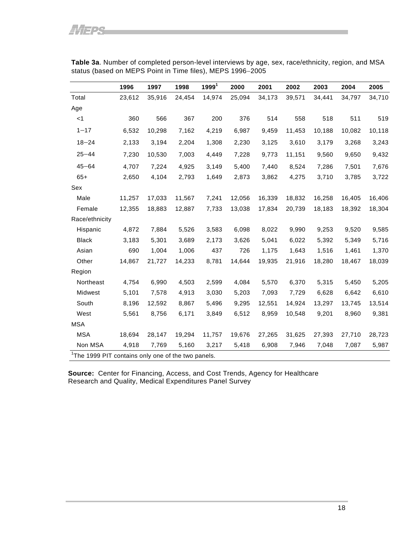|                | 1996   | 1997   | 1998   | 1999 <sup>1</sup> | 2000   | 2001   | 2002   | 2003   | 2004   | 2005   |
|----------------|--------|--------|--------|-------------------|--------|--------|--------|--------|--------|--------|
| Total          | 23,612 | 35,916 | 24,454 | 14,974            | 25,094 | 34,173 | 39,571 | 34,441 | 34,797 | 34,710 |
| Age            |        |        |        |                   |        |        |        |        |        |        |
| $<$ 1          | 360    | 566    | 367    | 200               | 376    | 514    | 558    | 518    | 511    | 519    |
| $1 - 17$       | 6,532  | 10,298 | 7,162  | 4,219             | 6,987  | 9,459  | 11,453 | 10,188 | 10,082 | 10,118 |
| $18 - 24$      | 2,133  | 3,194  | 2,204  | 1,308             | 2,230  | 3,125  | 3,610  | 3,179  | 3,268  | 3,243  |
| $25 - 44$      | 7,230  | 10,530 | 7,003  | 4,449             | 7,228  | 9,773  | 11,151 | 9,560  | 9,650  | 9,432  |
| $45 - 64$      | 4,707  | 7,224  | 4,925  | 3,149             | 5,400  | 7,440  | 8,524  | 7,286  | 7,501  | 7,676  |
| $65+$          | 2,650  | 4,104  | 2,793  | 1,649             | 2,873  | 3,862  | 4,275  | 3,710  | 3,785  | 3,722  |
| Sex            |        |        |        |                   |        |        |        |        |        |        |
| Male           | 11,257 | 17,033 | 11,567 | 7,241             | 12,056 | 16,339 | 18,832 | 16,258 | 16,405 | 16,406 |
| Female         | 12,355 | 18,883 | 12,887 | 7,733             | 13,038 | 17,834 | 20,739 | 18,183 | 18,392 | 18,304 |
| Race/ethnicity |        |        |        |                   |        |        |        |        |        |        |
| Hispanic       | 4,872  | 7,884  | 5,526  | 3,583             | 6,098  | 8,022  | 9,990  | 9,253  | 9,520  | 9,585  |
| <b>Black</b>   | 3,183  | 5,301  | 3,689  | 2,173             | 3,626  | 5,041  | 6,022  | 5,392  | 5,349  | 5,716  |
| Asian          | 690    | 1,004  | 1,006  | 437               | 726    | 1,175  | 1,643  | 1,516  | 1,461  | 1,370  |
| Other          | 14,867 | 21,727 | 14,233 | 8,781             | 14,644 | 19,935 | 21,916 | 18,280 | 18,467 | 18,039 |
| Region         |        |        |        |                   |        |        |        |        |        |        |
| Northeast      | 4,754  | 6,990  | 4,503  | 2,599             | 4,084  | 5,570  | 6,370  | 5,315  | 5,450  | 5,205  |
| Midwest        | 5,101  | 7,578  | 4,913  | 3,030             | 5,203  | 7,093  | 7,729  | 6,628  | 6,642  | 6,610  |
| South          | 8,196  | 12,592 | 8,867  | 5,496             | 9,295  | 12,551 | 14,924 | 13,297 | 13,745 | 13,514 |
| West           | 5,561  | 8,756  | 6,171  | 3,849             | 6,512  | 8,959  | 10,548 | 9,201  | 8,960  | 9,381  |
| <b>MSA</b>     |        |        |        |                   |        |        |        |        |        |        |
| <b>MSA</b>     | 18,694 | 28,147 | 19,294 | 11,757            | 19,676 | 27,265 | 31,625 | 27,393 | 27,710 | 28,723 |
| Non MSA        | 4,918  | 7,769  | 5,160  | 3,217             | 5,418  | 6,908  | 7,946  | 7,048  | 7,087  | 5,987  |

<span id="page-22-0"></span>**Table 3a**. Number of completed person-level interviews by age, sex, race/ethnicity, region, and MSA status (based on MEPS Point in Time files), MEPS 1996−2005

**Source:** Center for Financing, Access, and Cost Trends, Agency for Healthcare Research and Quality, Medical Expenditures Panel Survey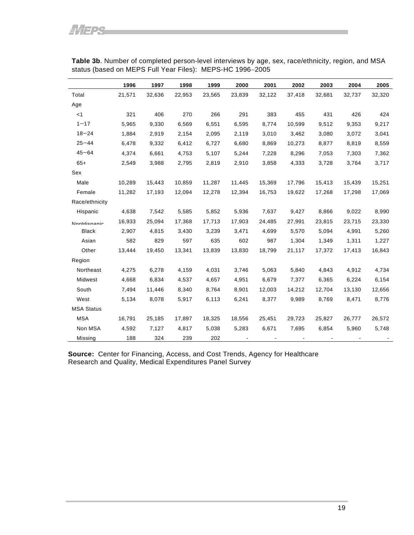|                   | 1996   | 1997   | 1998   | 1999   | 2000   | 2001   | 2002   | 2003   | 2004   | 2005   |
|-------------------|--------|--------|--------|--------|--------|--------|--------|--------|--------|--------|
| Total             | 21,571 | 32,636 | 22,953 | 23,565 | 23,839 | 32,122 | 37,418 | 32,681 | 32,737 | 32,320 |
| Age               |        |        |        |        |        |        |        |        |        |        |
| $<$ 1             | 321    | 406    | 270    | 266    | 291    | 383    | 455    | 431    | 426    | 424    |
| $1 - 17$          | 5,965  | 9,330  | 6,569  | 6,551  | 6,595  | 8,774  | 10,599 | 9,512  | 9,353  | 9,217  |
| $18 - 24$         | 1,884  | 2,919  | 2,154  | 2,095  | 2,119  | 3,010  | 3,462  | 3,080  | 3,072  | 3,041  |
| $25 - 44$         | 6,478  | 9,332  | 6,412  | 6,727  | 6,680  | 8,869  | 10,273 | 8,877  | 8,819  | 8,559  |
| $45 - 64$         | 4,374  | 6,661  | 4,753  | 5,107  | 5,244  | 7,228  | 8,296  | 7,053  | 7,303  | 7,362  |
| $65+$             | 2,549  | 3,988  | 2,795  | 2,819  | 2,910  | 3,858  | 4,333  | 3,728  | 3,764  | 3,717  |
| Sex               |        |        |        |        |        |        |        |        |        |        |
| Male              | 10,289 | 15,443 | 10,859 | 11,287 | 11,445 | 15,369 | 17,796 | 15,413 | 15,439 | 15,251 |
| Female            | 11,282 | 17,193 | 12,094 | 12,278 | 12,394 | 16,753 | 19,622 | 17,268 | 17,298 | 17,069 |
| Race/ethnicity    |        |        |        |        |        |        |        |        |        |        |
| Hispanic          | 4,638  | 7,542  | 5,585  | 5,852  | 5,936  | 7,637  | 9,427  | 8,866  | 9,022  | 8,990  |
| NonHienanio       | 16,933 | 25,094 | 17,368 | 17,713 | 17,903 | 24,485 | 27,991 | 23,815 | 23,715 | 23,330 |
| <b>Black</b>      | 2,907  | 4,815  | 3,430  | 3,239  | 3,471  | 4,699  | 5,570  | 5,094  | 4,991  | 5,260  |
| Asian             | 582    | 829    | 597    | 635    | 602    | 987    | 1,304  | 1,349  | 1,311  | 1,227  |
| Other             | 13,444 | 19,450 | 13,341 | 13,839 | 13,830 | 18,799 | 21,117 | 17,372 | 17,413 | 16,843 |
| Region            |        |        |        |        |        |        |        |        |        |        |
| Northeast         | 4,275  | 6,278  | 4,159  | 4,031  | 3,746  | 5,063  | 5,840  | 4,843  | 4,912  | 4,734  |
| Midwest           | 4,668  | 6,834  | 4,537  | 4,657  | 4,951  | 6,679  | 7,377  | 6,365  | 6,224  | 6,154  |
| South             | 7,494  | 11,446 | 8,340  | 8,764  | 8,901  | 12,003 | 14,212 | 12,704 | 13,130 | 12,656 |
| West              | 5,134  | 8,078  | 5,917  | 6,113  | 6,241  | 8,377  | 9,989  | 8,769  | 8,471  | 8,776  |
| <b>MSA Status</b> |        |        |        |        |        |        |        |        |        |        |
| <b>MSA</b>        | 16,791 | 25,185 | 17,897 | 18,325 | 18,556 | 25,451 | 29,723 | 25,827 | 26,777 | 26,572 |
| Non MSA           | 4,592  | 7,127  | 4,817  | 5,038  | 5,283  | 6,671  | 7,695  | 6,854  | 5,960  | 5,748  |
| Missing           | 188    | 324    | 239    | 202    |        |        |        |        |        |        |

**Table 3b**. Number of completed person-level interviews by age, sex, race/ethnicity, region, and MSA status (based on MEPS Full Year Files): MEPS-HC 1996−2005

**Source:** Center for Financing, Access, and Cost Trends, Agency for Healthcare Research and Quality, Medical Expenditures Panel Survey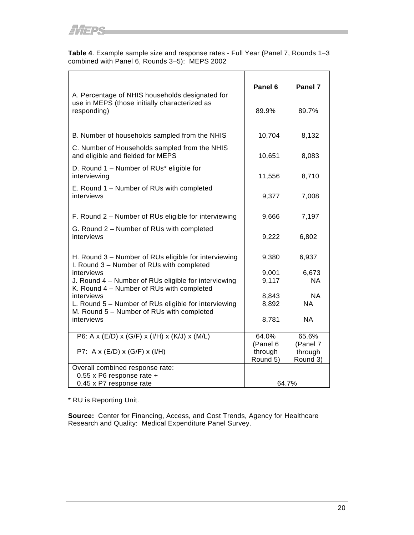**Table 4**. Example sample size and response rates - Full Year (Panel 7, Rounds 1−3 combined with Panel 6, Rounds 3−5): MEPS 2002

|                                                                                                                 | Panel 6             | Panel 7             |
|-----------------------------------------------------------------------------------------------------------------|---------------------|---------------------|
| A. Percentage of NHIS households designated for<br>use in MEPS (those initially characterized as<br>responding) | 89.9%               | 89.7%               |
| B. Number of households sampled from the NHIS                                                                   | 10,704              | 8,132               |
| C. Number of Households sampled from the NHIS<br>and eligible and fielded for MEPS                              | 10,651              | 8,083               |
| D. Round 1 - Number of RUs* eligible for<br>interviewing                                                        | 11,556              | 8,710               |
| E. Round 1 – Number of RUs with completed<br>interviews                                                         | 9,377               | 7,008               |
| F. Round 2 - Number of RUs eligible for interviewing                                                            | 9,666               | 7,197               |
| G. Round 2 – Number of RUs with completed<br>interviews                                                         | 9,222               | 6,802               |
| H. Round 3 – Number of RUs eligible for interviewing<br>I. Round 3 - Number of RUs with completed               | 9,380               | 6,937               |
| interviews                                                                                                      | 9,001               | 6,673               |
| J. Round 4 - Number of RUs eligible for interviewing<br>K. Round 4 - Number of RUs with completed               | 9,117               | <b>NA</b>           |
| interviews                                                                                                      | 8,843               | <b>NA</b>           |
| L. Round 5 - Number of RUs eligible for interviewing<br>M. Round 5 - Number of RUs with completed               | 8,892               | <b>NA</b>           |
| interviews                                                                                                      | 8,781               | <b>NA</b>           |
| P6: A x (E/D) x (G/F) x (I/H) x (K/J) x (M/L)                                                                   | 64.0%               | 65.6%               |
|                                                                                                                 | (Panel 6            | (Panel 7            |
| P7: A x (E/D) x (G/F) x (I/H)                                                                                   | through<br>Round 5) | through<br>Round 3) |
| Overall combined response rate:                                                                                 |                     |                     |
| 0.55 x P6 response rate +                                                                                       |                     |                     |
| 0.45 x P7 response rate                                                                                         | 64.7%               |                     |

\* RU is Reporting Unit.

**Source:** Center for Financing, Access, and Cost Trends, Agency for Healthcare Research and Quality: Medical Expenditure Panel Survey.